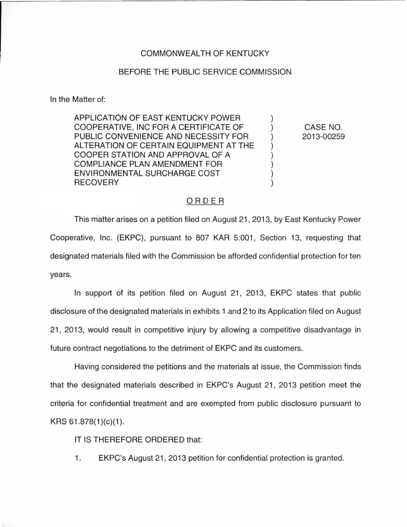## COMMONWEALTH OF KENTUCKY

## BEFORE THE PUBLIC SERVICE COMMISSION

In the Matter of:

APPLICATION OF EAST KENTUCKY POWER COOPERATIVE, INC FOR A CERTIFICATE OF PUBLIC CONVENIENCE AND NECESSITY FOR ALTERATION OF CERTAIN EQUIPMENT AT THE COOPER STATION AND APPROVAL OF A COMPLIANCE PLAN AMENDMENT FOR ENVIRONMENTAL SURCHARGE COST **RECOVERY** 

CASE NO. 2013-00259

 $\mathcal{E}$ 

## ORDER

This matter arises on a petition filed on August 21, 2013, by East Kentucky Power Cooperative, Inc. (EKPC), pursuant to 807 KAR 5:001, Section 13, requesting that designated materials filed with the Commission be afforded confidential protection for ten years.

In support of its petition filed on August 21, 2013, EKPC states that public disclosure of the designated materials in exhibits 1 and 2 to its Application filed on August 21, 2013, would result in competitive injury by allowing a competitive disadvantage in future contract negotiations to the detriment of EKPC and its customers.

Having considered the petitions and the materials at issue, the Commission finds that the designated materials described in EKPC's August 21 , 2013 petition meet the criteria for confidential treatment and are exempted from public disclosure pursuant to KRS  $61.878(1)(c)(1)$ .

IT IS THEREFORE ORDERED that:

1. EKPC's August 21 , 2013 petition for confidential protection is granted.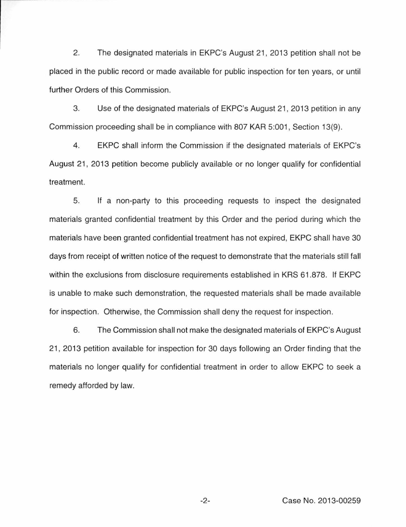2. The designated materials in EKPC's August 21 , 2013 petition shall not be placed in the public record or made available for public inspection for ten years, or until further Orders of this Commission.

3. Use of the designated materials of EKPC's August 21 , 2013 petition in any Commission proceeding shall be in compliance with 807 KAR 5:001, Section 13(9).

4. EKPC shall inform the Commission if the designated materials of EKPC's August 21, 2013 petition become publicly available or no longer qualify for confidential treatment.

5. If a non-party to this proceeding requests to inspect the designated materials granted confidential treatment by this Order and the period during which the materials have been granted confidential treatment has not expired, EKPC shall have 30 days from receipt of written notice of the request to demonstrate that the materials still fall within the exclusions from disclosure requirements established in KRS 61.878. If EKPC is unable to make such demonstration, the requested materials shall be made available for inspection. Otherwise, the Commission shall deny the request for inspection.

6. The Commission shall not make the designated materials of EKPC's August 21 , 2013 petition available for inspection for 30 days following an Order finding that the materials no longer qualify for confidential treatment in order to allow EKPC to seek a remedy afforded by law.

-2- Case No. 2013-00259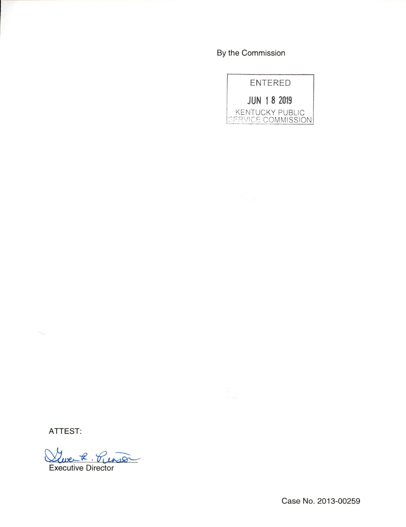## By the Commission



ATTEST:

 $\sim -\epsilon_{\rm tot}$ 

ent. Puiss Executive Director

Case No. 2013-00259